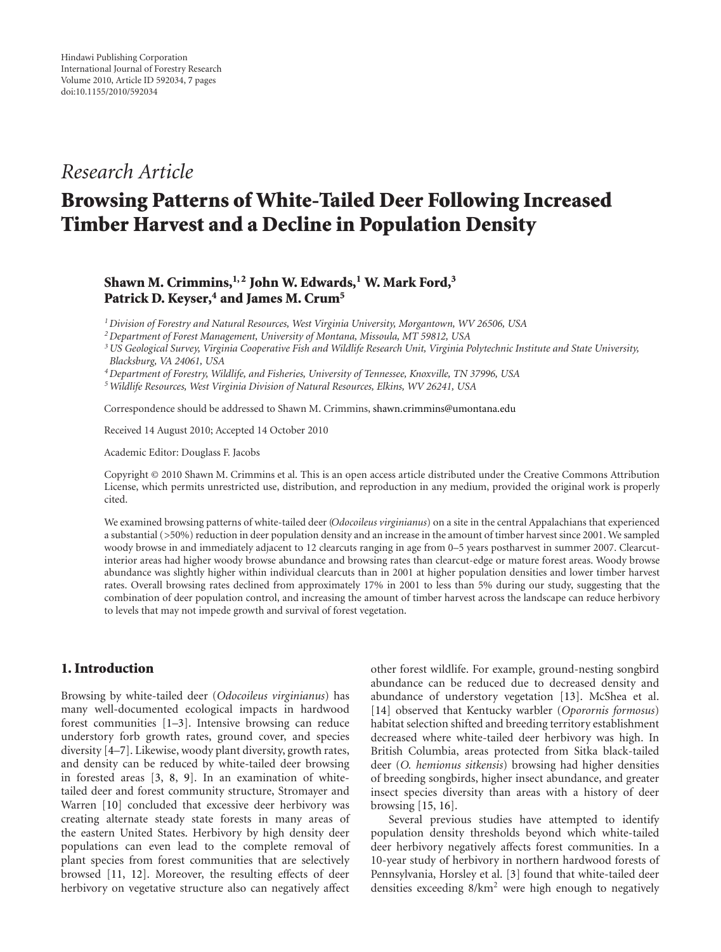# *Research Article*

# **Browsing Patterns of White-Tailed Deer Following Increased Timber Harvest and a Decline in Population Density**

# **Shawn M. Crimmins, <sup>1, 2</sup> John W. Edwards, <sup>1</sup> W. Mark Ford,<sup>3</sup>** Patrick D. Keyser,<sup>4</sup> and James M. Crum<sup>5</sup>

*1Division of Forestry and Natural Resources, West Virginia University, Morgantown, WV 26506, USA*

*2Department of Forest Management, University of Montana, Missoula, MT 59812, USA*

*3US Geological Survey, Virginia Cooperative Fish and Wildlife Research Unit, Virginia Polytechnic Institute and State University, Blacksburg, VA 24061, USA*

*4Department of Forestry, Wildlife, and Fisheries, University of Tennessee, Knoxville, TN 37996, USA*

*5Wildlife Resources, West Virginia Division of Natural Resources, Elkins, WV 26241, USA*

Correspondence should be addressed to Shawn M. Crimmins, shawn.crimmins@umontana.edu

Received 14 August 2010; Accepted 14 October 2010

Academic Editor: Douglass F. Jacobs

Copyright © 2010 Shawn M. Crimmins et al. This is an open access article distributed under the Creative Commons Attribution License, which permits unrestricted use, distribution, and reproduction in any medium, provided the original work is properly cited.

We examined browsing patterns of white-tailed deer (*Odocoileus virginianus*) on a site in the central Appalachians that experienced a substantial (*>*50%) reduction in deer population density and an increase in the amount of timber harvest since 2001. We sampled woody browse in and immediately adjacent to 12 clearcuts ranging in age from 0–5 years postharvest in summer 2007. Clearcutinterior areas had higher woody browse abundance and browsing rates than clearcut-edge or mature forest areas. Woody browse abundance was slightly higher within individual clearcuts than in 2001 at higher population densities and lower timber harvest rates. Overall browsing rates declined from approximately 17% in 2001 to less than 5% during our study, suggesting that the combination of deer population control, and increasing the amount of timber harvest across the landscape can reduce herbivory to levels that may not impede growth and survival of forest vegetation.

## **1. Introduction**

Browsing by white-tailed deer (*Odocoileus virginianus*) has many well-documented ecological impacts in hardwood forest communities [1–3]. Intensive browsing can reduce understory forb growth rates, ground cover, and species diversity [4–7]. Likewise, woody plant diversity, growth rates, and density can be reduced by white-tailed deer browsing in forested areas [3, 8, 9]. In an examination of whitetailed deer and forest community structure, Stromayer and Warren [10] concluded that excessive deer herbivory was creating alternate steady state forests in many areas of the eastern United States. Herbivory by high density deer populations can even lead to the complete removal of plant species from forest communities that are selectively browsed [11, 12]. Moreover, the resulting effects of deer herbivory on vegetative structure also can negatively affect

other forest wildlife. For example, ground-nesting songbird abundance can be reduced due to decreased density and abundance of understory vegetation [13]. McShea et al. [14] observed that Kentucky warbler (*Oporornis formosus*) habitat selection shifted and breeding territory establishment decreased where white-tailed deer herbivory was high. In British Columbia, areas protected from Sitka black-tailed deer (*O. hemionus sitkensis*) browsing had higher densities of breeding songbirds, higher insect abundance, and greater insect species diversity than areas with a history of deer browsing [15, 16].

Several previous studies have attempted to identify population density thresholds beyond which white-tailed deer herbivory negatively affects forest communities. In a 10-year study of herbivory in northern hardwood forests of Pennsylvania, Horsley et al. [3] found that white-tailed deer densities exceeding  $8/km^2$  were high enough to negatively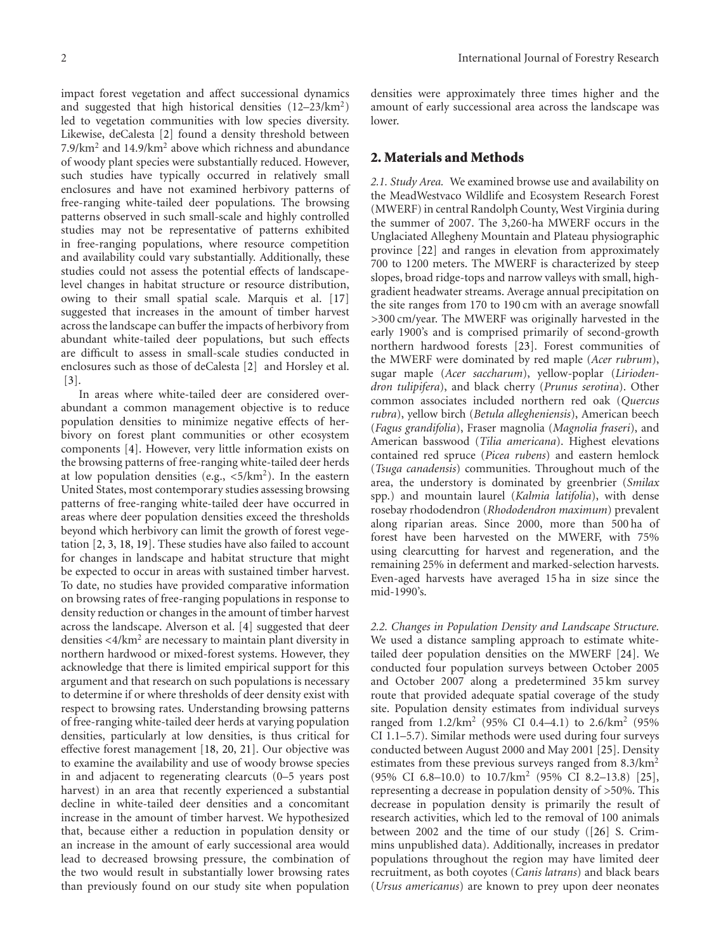impact forest vegetation and affect successional dynamics and suggested that high historical densities  $(12-23/km^2)$ led to vegetation communities with low species diversity. Likewise, deCalesta [2] found a density threshold between 7.9/km2 and 14.9/km<sup>2</sup> above which richness and abundance of woody plant species were substantially reduced. However, such studies have typically occurred in relatively small enclosures and have not examined herbivory patterns of free-ranging white-tailed deer populations. The browsing patterns observed in such small-scale and highly controlled studies may not be representative of patterns exhibited in free-ranging populations, where resource competition and availability could vary substantially. Additionally, these studies could not assess the potential effects of landscapelevel changes in habitat structure or resource distribution, owing to their small spatial scale. Marquis et al. [17] suggested that increases in the amount of timber harvest across the landscape can buffer the impacts of herbivory from abundant white-tailed deer populations, but such effects are difficult to assess in small-scale studies conducted in enclosures such as those of deCalesta [2] and Horsley et al. [3].

In areas where white-tailed deer are considered overabundant a common management objective is to reduce population densities to minimize negative effects of herbivory on forest plant communities or other ecosystem components [4]. However, very little information exists on the browsing patterns of free-ranging white-tailed deer herds at low population densities (e.g., *<*5/km2). In the eastern United States, most contemporary studies assessing browsing patterns of free-ranging white-tailed deer have occurred in areas where deer population densities exceed the thresholds beyond which herbivory can limit the growth of forest vegetation [2, 3, 18, 19]. These studies have also failed to account for changes in landscape and habitat structure that might be expected to occur in areas with sustained timber harvest. To date, no studies have provided comparative information on browsing rates of free-ranging populations in response to density reduction or changes in the amount of timber harvest across the landscape. Alverson et al. [4] suggested that deer densities *<*4/km<sup>2</sup> are necessary to maintain plant diversity in northern hardwood or mixed-forest systems. However, they acknowledge that there is limited empirical support for this argument and that research on such populations is necessary to determine if or where thresholds of deer density exist with respect to browsing rates. Understanding browsing patterns of free-ranging white-tailed deer herds at varying population densities, particularly at low densities, is thus critical for effective forest management [18, 20, 21]. Our objective was to examine the availability and use of woody browse species in and adjacent to regenerating clearcuts (0–5 years post harvest) in an area that recently experienced a substantial decline in white-tailed deer densities and a concomitant increase in the amount of timber harvest. We hypothesized that, because either a reduction in population density or an increase in the amount of early successional area would lead to decreased browsing pressure, the combination of the two would result in substantially lower browsing rates than previously found on our study site when population

densities were approximately three times higher and the amount of early successional area across the landscape was lower.

#### **2. Materials and Methods**

*2.1. Study Area.* We examined browse use and availability on the MeadWestvaco Wildlife and Ecosystem Research Forest (MWERF) in central Randolph County, West Virginia during the summer of 2007. The 3,260-ha MWERF occurs in the Unglaciated Allegheny Mountain and Plateau physiographic province [22] and ranges in elevation from approximately 700 to 1200 meters. The MWERF is characterized by steep slopes, broad ridge-tops and narrow valleys with small, highgradient headwater streams. Average annual precipitation on the site ranges from 170 to 190 cm with an average snowfall *>*300 cm/year. The MWERF was originally harvested in the early 1900's and is comprised primarily of second-growth northern hardwood forests [23]. Forest communities of the MWERF were dominated by red maple (*Acer rubrum*), sugar maple (*Acer saccharum*), yellow-poplar (*Liriodendron tulipifera*), and black cherry (*Prunus serotina*). Other common associates included northern red oak (*Quercus rubra*), yellow birch (*Betula allegheniensis*), American beech (*Fagus grandifolia*), Fraser magnolia (*Magnolia fraseri*), and American basswood (*Tilia americana*). Highest elevations contained red spruce (*Picea rubens*) and eastern hemlock (*Tsuga canadensis*) communities. Throughout much of the area, the understory is dominated by greenbrier (*Smilax* spp.) and mountain laurel (*Kalmia latifolia*), with dense rosebay rhododendron (*Rhododendron maximum*) prevalent along riparian areas. Since 2000, more than 500 ha of forest have been harvested on the MWERF, with 75% using clearcutting for harvest and regeneration, and the remaining 25% in deferment and marked-selection harvests. Even-aged harvests have averaged 15 ha in size since the mid-1990's.

*2.2. Changes in Population Density and Landscape Structure.* We used a distance sampling approach to estimate whitetailed deer population densities on the MWERF [24]. We conducted four population surveys between October 2005 and October 2007 along a predetermined 35 km survey route that provided adequate spatial coverage of the study site. Population density estimates from individual surveys ranged from 1.2/km2 (95% CI 0.4–4.1) to 2.6/km<sup>2</sup> (95% CI 1.1–5.7). Similar methods were used during four surveys conducted between August 2000 and May 2001 [25]. Density estimates from these previous surveys ranged from 8.3/km<sup>2</sup> (95% CI 6.8–10.0) to 10.7/km<sup>2</sup> (95% CI 8.2–13.8) [25], representing a decrease in population density of *>*50%. This decrease in population density is primarily the result of research activities, which led to the removal of 100 animals between 2002 and the time of our study ([26] S. Crimmins unpublished data). Additionally, increases in predator populations throughout the region may have limited deer recruitment, as both coyotes (*Canis latrans*) and black bears (*Ursus americanus*) are known to prey upon deer neonates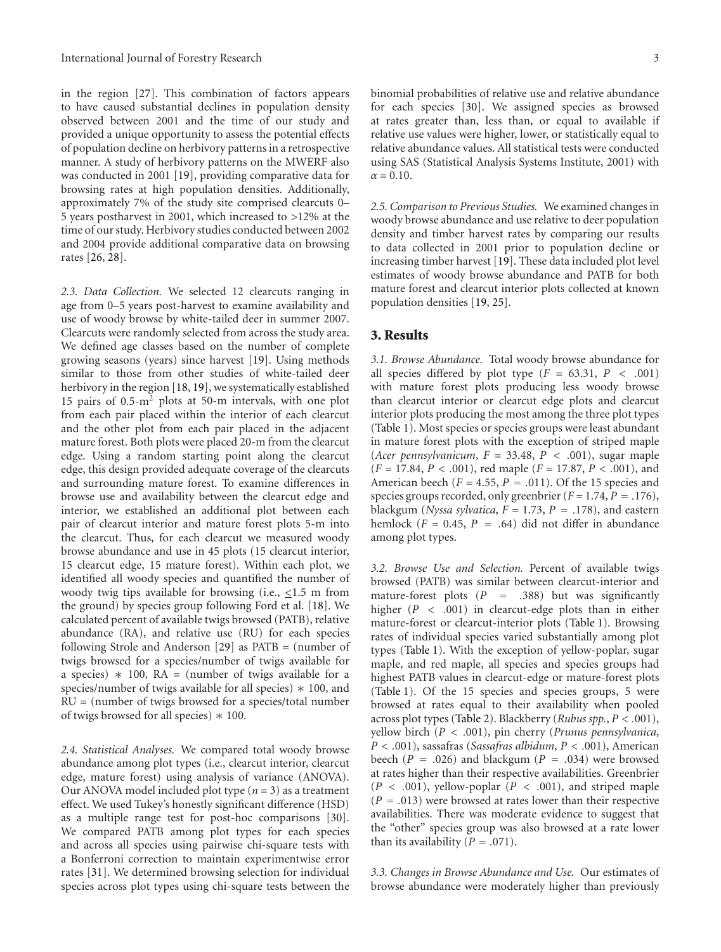in the region [27]. This combination of factors appears to have caused substantial declines in population density observed between 2001 and the time of our study and provided a unique opportunity to assess the potential effects of population decline on herbivory patterns in a retrospective manner. A study of herbivory patterns on the MWERF also was conducted in 2001 [19], providing comparative data for browsing rates at high population densities. Additionally, approximately 7% of the study site comprised clearcuts 0– 5 years postharvest in 2001, which increased to *>*12% at the time of our study. Herbivory studies conducted between 2002 and 2004 provide additional comparative data on browsing rates [26, 28].

*2.3. Data Collection.* We selected 12 clearcuts ranging in age from 0–5 years post-harvest to examine availability and use of woody browse by white-tailed deer in summer 2007. Clearcuts were randomly selected from across the study area. We defined age classes based on the number of complete growing seasons (years) since harvest [19]. Using methods similar to those from other studies of white-tailed deer herbivory in the region [18, 19], we systematically established 15 pairs of 0.5-m2 plots at 50-m intervals, with one plot from each pair placed within the interior of each clearcut and the other plot from each pair placed in the adjacent mature forest. Both plots were placed 20-m from the clearcut edge. Using a random starting point along the clearcut edge, this design provided adequate coverage of the clearcuts and surrounding mature forest. To examine differences in browse use and availability between the clearcut edge and interior, we established an additional plot between each pair of clearcut interior and mature forest plots 5-m into the clearcut. Thus, for each clearcut we measured woody browse abundance and use in 45 plots (15 clearcut interior, 15 clearcut edge, 15 mature forest). Within each plot, we identified all woody species and quantified the number of woody twig tips available for browsing (i.e., *<*1.5 m from the ground) by species group following Ford et al. [18]. We calculated percent of available twigs browsed (PATB), relative abundance (RA), and relative use (RU) for each species following Strole and Anderson [29] as PATB = (number of twigs browsed for a species/number of twigs available for a species)  $*$  100, RA = (number of twigs available for a species/number of twigs available for all species)  $*$  100, and RU = (number of twigs browsed for a species/total number of twigs browsed for all species)  $* 100$ .

*2.4. Statistical Analyses.* We compared total woody browse abundance among plot types (i.e., clearcut interior, clearcut edge, mature forest) using analysis of variance (ANOVA). Our ANOVA model included plot type (*n* = 3) as a treatment effect. We used Tukey's honestly significant difference (HSD) as a multiple range test for post-hoc comparisons [30]. We compared PATB among plot types for each species and across all species using pairwise chi-square tests with a Bonferroni correction to maintain experimentwise error rates [31]. We determined browsing selection for individual species across plot types using chi-square tests between the binomial probabilities of relative use and relative abundance for each species [30]. We assigned species as browsed at rates greater than, less than, or equal to available if relative use values were higher, lower, or statistically equal to relative abundance values. All statistical tests were conducted using SAS (Statistical Analysis Systems Institute, 2001) with  $\alpha = 0.10$ .

*2.5. Comparison to Previous Studies.* We examined changes in woody browse abundance and use relative to deer population density and timber harvest rates by comparing our results to data collected in 2001 prior to population decline or increasing timber harvest [19]. These data included plot level estimates of woody browse abundance and PATB for both mature forest and clearcut interior plots collected at known population densities [19, 25].

#### **3. Results**

*3.1. Browse Abundance.* Total woody browse abundance for all species differed by plot type  $(F = 63.31, P < .001)$ with mature forest plots producing less woody browse than clearcut interior or clearcut edge plots and clearcut interior plots producing the most among the three plot types (Table 1). Most species or species groups were least abundant in mature forest plots with the exception of striped maple (*Acer pennsylvanicum*, *F* = 33.48, *P<.*001), sugar maple (*F* = 17.84, *P<.*001), red maple (*F* = 17.87, *P<.*001), and American beech ( $F = 4.55$ ,  $P = .011$ ). Of the 15 species and species groups recorded, only greenbrier (*<sup>F</sup>* <sup>=</sup> 1.74, *<sup>P</sup>* <sup>=</sup> *.*176), blackgum (*Nyssa sylvatica*,  $F = 1.73$ ,  $P = .178$ ), and eastern hemlock  $(F = 0.45, P = .64)$  did not differ in abundance among plot types.

*3.2. Browse Use and Selection.* Percent of available twigs browsed (PATB) was similar between clearcut-interior and mature-forest plots (*<sup>P</sup>* <sup>=</sup> *.*388) but was significantly higher  $(P < .001)$  in clearcut-edge plots than in either mature-forest or clearcut-interior plots (Table 1). Browsing rates of individual species varied substantially among plot types (Table 1). With the exception of yellow-poplar, sugar maple, and red maple, all species and species groups had highest PATB values in clearcut-edge or mature-forest plots (Table 1). Of the 15 species and species groups, 5 were browsed at rates equal to their availability when pooled across plot types (Table 2). Blackberry (*Rubus spp.*, *P<.*001), yellow birch (*P<.*001), pin cherry (*Prunus pennsylvanica*, *P<.*001), sassafras (*Sassafras albidum*, *P<.*001), American beech ( $P = .026$ ) and blackgum ( $P = .034$ ) were browsed at rates higher than their respective availabilities. Greenbrier  $(P < .001)$ , yellow-poplar  $(P < .001)$ , and striped maple (*<sup>P</sup>* <sup>=</sup> *.*013) were browsed at rates lower than their respective availabilities. There was moderate evidence to suggest that the "other" species group was also browsed at a rate lower than its availability  $(P = .071)$ .

*3.3. Changes in Browse Abundance and Use.* Our estimates of browse abundance were moderately higher than previously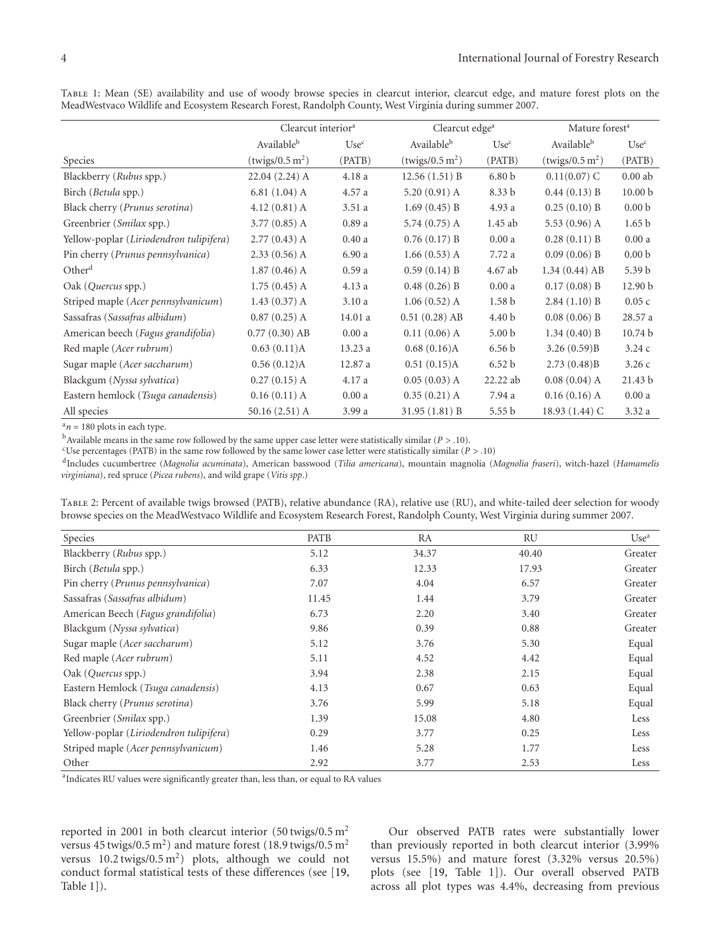|                                         | Clearcut interior <sup>a</sup> |                  | Clearcut edge <sup>a</sup>  |                   | Mature forest <sup>a</sup>  |                    |
|-----------------------------------------|--------------------------------|------------------|-----------------------------|-------------------|-----------------------------|--------------------|
|                                         | Available <sup>b</sup>         | Use <sup>c</sup> | Available <sup>b</sup>      | Use <sup>c</sup>  | Availableb                  | Use <sup>c</sup>   |
| <b>Species</b>                          | (twigs/0.5 m <sup>2</sup> )    | (PATB)           | (twigs/0.5 m <sup>2</sup> ) | (PATB)            | (twigs/0.5 m <sup>2</sup> ) | (PATB)             |
| Blackberry (Rubus spp.)                 | $22.04(2.24)$ A                | 4.18 a           | 12.56(1.51) B               | 6.80 <sub>b</sub> | $0.11(0.07)$ C              | $0.00$ ab          |
| Birch ( <i>Betula spp.</i> )            | $6.81(1.04)$ A                 | 4.57 a           | $5.20(0.91)$ A              | 8.33 b            | $0.44(0.13)$ B              | 10.00 <sub>b</sub> |
| Black cherry (Prunus serotina)          | $4.12(0.81)$ A                 | 3.51a            | $1.69(0.45)$ B              | 4.93 a            | $0.25(0.10)$ B              | 0.00 <sub>b</sub>  |
| Greenbrier (Smilax spp.)                | $3.77(0.85)$ A                 | 0.89a            | 5.74 $(0.75)$ A             | 1.45 ab           | 5.53 $(0.96)$ A             | 1.65 <sub>b</sub>  |
| Yellow-poplar (Liriodendron tulipifera) | $2.77(0.43)$ A                 | 0.40a            | $0.76(0.17)$ B              | 0.00a             | 0.28(0.11) B                | 0.00a              |
| Pin cherry (Prunus pennsylvanica)       | $2.33(0.56)$ A                 | 6.90a            | $1.66(0.53)$ A              | 7.72 a            | $0.09(0.06)$ B              | 0.00 <sub>b</sub>  |
| Other <sup>d</sup>                      | $1.87(0.46)$ A                 | 0.59a            | $0.59(0.14)$ B              | 4.67 ab           | $1.34(0.44)$ AB             | 5.39 <sub>b</sub>  |
| Oak (Quercus spp.)                      | $1.75(0.45)$ A                 | 4.13a            | $0.48(0.26)$ B              | 0.00a             | $0.17(0.08)$ B              | 12.90 b            |
| Striped maple (Acer pennsylvanicum)     | 1.43(0.37)A                    | 3.10a            | $1.06(0.52)$ A              | 1.58 <sub>b</sub> | $2.84(1.10)$ B              | 0.05c              |
| Sassafras (Sassafras albidum)           | $0.87(0.25)$ A                 | 14.01 a          | $0.51(0.28)$ AB             | 4.40 b            | $0.08(0.06)$ B              | 28.57 a            |
| American beech (Fagus grandifolia)      | $0.77(0.30)$ AB                | 0.00a            | $0.11(0.06)$ A              | 5.00 <sub>b</sub> | $1.34(0.40)$ B              | 10.74 <sub>b</sub> |
| Red maple (Acer rubrum)                 | 0.63(0.11)A                    | 13.23a           | $0.68(0.16)$ A              | 6.56 <sub>b</sub> | 3.26(0.59)B                 | 3.24c              |
| Sugar maple ( <i>Acer saccharum</i> )   | $0.56(0.12)$ A                 | 12.87 a          | 0.51(0.15)A                 | 6.52 b            | 2.73(0.48)B                 | 3.26c              |
| Blackgum (Nyssa sylvatica)              | $0.27(0.15)$ A                 | 4.17 a           | $0.05(0.03)$ A              | 22.22 ab          | $0.08(0.04)$ A              | 21.43 <sub>b</sub> |

Table 1: Mean (SE) availability and use of woody browse species in clearcut interior, clearcut edge, and mature forest plots on the MeadWestvaco Wildlife and Ecosystem Research Forest, Randolph County, West Virginia during summer 2007.

 $a_n = 180$  plots in each type.

 $<sup>b</sup>$  Available means in the same row followed by the same upper case letter were statistically similar ( $P > 0.10$ ).</sup>

Use percentages (PATB) in the same row followed by the same lower case letter were statistically similar ( $P > .10$ )

dIncludes cucumbertree (*Magnolia acuminata*), American basswood (*Tilia americana*), mountain magnolia (*Magnolia fraseri*), witch-hazel (*Hamamelis virginiana*), red spruce (*Picea rubens*), and wild grape (*Vitis spp*.)

Eastern hemlock (*Tsuga canadensis*) 0.16 (0.11) A 0.00 a 0.35 (0.21) A 7.94 a 0.16 (0.16) A 0.00 a All species 50.16 (2.51) A 3.99 a 31.95 (1.81) B 5.55 b 18.93 (1.44) C 3.32 a

| TABLE 2: Percent of available twigs browsed (PATB), relative abundance (RA), relative use (RU), and white-tailed deer selection for woody |  |  |  |  |
|-------------------------------------------------------------------------------------------------------------------------------------------|--|--|--|--|
| browse species on the MeadWestvaco Wildlife and Ecosystem Research Forest, Randolph County, West Virginia during summer 2007.             |  |  |  |  |

| Species                                 | <b>PATB</b> | RA    | RU    | Use <sup>a</sup> |
|-----------------------------------------|-------------|-------|-------|------------------|
| Blackberry (Rubus spp.)                 | 5.12        | 34.37 | 40.40 | Greater          |
| Birch (Betula spp.)                     | 6.33        | 12.33 | 17.93 | Greater          |
| Pin cherry (Prunus pennsylvanica)       | 7.07        | 4.04  | 6.57  | Greater          |
| Sassafras (Sassafras albidum)           | 11.45       | 1.44  | 3.79  | Greater          |
| American Beech (Fagus grandifolia)      | 6.73        | 2.20  | 3.40  | Greater          |
| Blackgum (Nyssa sylvatica)              | 9.86        | 0.39  | 0.88  | Greater          |
| Sugar maple (Acer saccharum)            | 5.12        | 3.76  | 5.30  | Equal            |
| Red maple (Acer rubrum)                 | 5.11        | 4.52  | 4.42  | Equal            |
| Oak (Quercus spp.)                      | 3.94        | 2.38  | 2.15  | Equal            |
| Eastern Hemlock (Tsuga canadensis)      | 4.13        | 0.67  | 0.63  | Equal            |
| Black cherry (Prunus serotina)          | 3.76        | 5.99  | 5.18  | Equal            |
| Greenbrier (Smilax spp.)                | 1.39        | 15.08 | 4.80  | Less             |
| Yellow-poplar (Liriodendron tulipifera) | 0.29        | 3.77  | 0.25  | Less             |
| Striped maple (Acer pennsylvanicum)     | 1.46        | 5.28  | 1.77  | Less             |
| Other                                   | 2.92        | 3.77  | 2.53  | Less             |

<sup>a</sup>Indicates RU values were significantly greater than, less than, or equal to RA values

reported in 2001 in both clearcut interior (50 twigs/0.5 m<sup>2</sup> versus 45 twigs/0.5 m<sup>2</sup>) and mature forest (18.9 twigs/0.5 m<sup>2</sup>) versus  $10.2$  twigs/ $0.5$  m<sup>2</sup>) plots, although we could not conduct formal statistical tests of these differences (see [19, Table 1]).

Our observed PATB rates were substantially lower than previously reported in both clearcut interior (3.99% versus 15.5%) and mature forest (3.32% versus 20.5%) plots (see [19, Table 1]). Our overall observed PATB across all plot types was 4.4%, decreasing from previous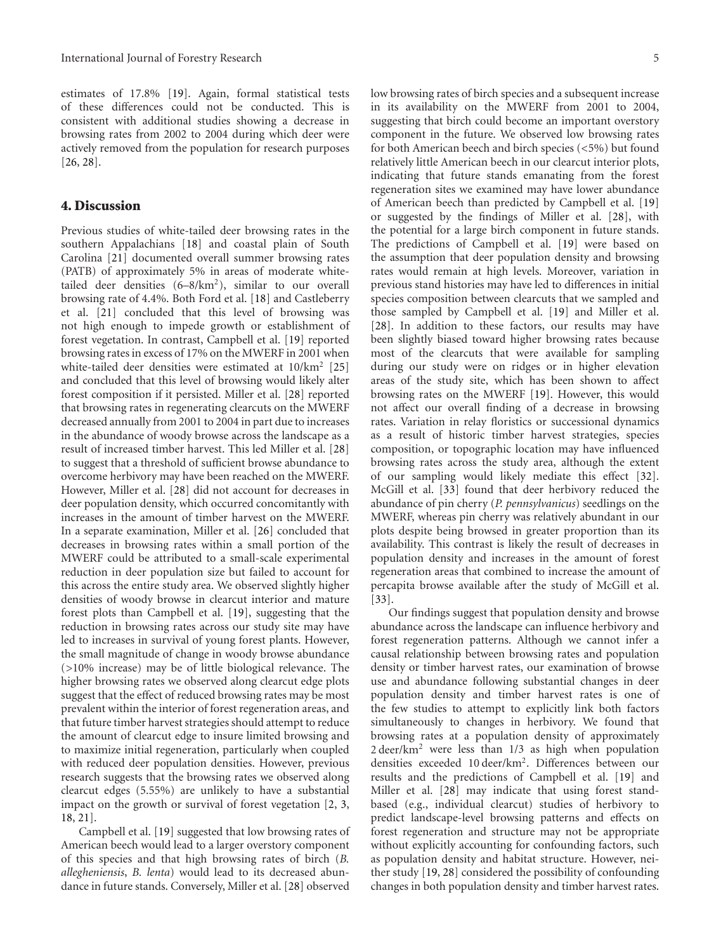estimates of 17.8% [19]. Again, formal statistical tests of these differences could not be conducted. This is consistent with additional studies showing a decrease in browsing rates from 2002 to 2004 during which deer were actively removed from the population for research purposes [26, 28].

#### **4. Discussion**

Previous studies of white-tailed deer browsing rates in the southern Appalachians [18] and coastal plain of South Carolina [21] documented overall summer browsing rates (PATB) of approximately 5% in areas of moderate whitetailed deer densities (6–8/km2), similar to our overall browsing rate of 4.4%. Both Ford et al. [18] and Castleberry et al. [21] concluded that this level of browsing was not high enough to impede growth or establishment of forest vegetation. In contrast, Campbell et al. [19] reported browsing rates in excess of 17% on the MWERF in 2001 when white-tailed deer densities were estimated at  $10/km^2$  [25] and concluded that this level of browsing would likely alter forest composition if it persisted. Miller et al. [28] reported that browsing rates in regenerating clearcuts on the MWERF decreased annually from 2001 to 2004 in part due to increases in the abundance of woody browse across the landscape as a result of increased timber harvest. This led Miller et al. [28] to suggest that a threshold of sufficient browse abundance to overcome herbivory may have been reached on the MWERF. However, Miller et al. [28] did not account for decreases in deer population density, which occurred concomitantly with increases in the amount of timber harvest on the MWERF. In a separate examination, Miller et al. [26] concluded that decreases in browsing rates within a small portion of the MWERF could be attributed to a small-scale experimental reduction in deer population size but failed to account for this across the entire study area. We observed slightly higher densities of woody browse in clearcut interior and mature forest plots than Campbell et al. [19], suggesting that the reduction in browsing rates across our study site may have led to increases in survival of young forest plants. However, the small magnitude of change in woody browse abundance (*>*10% increase) may be of little biological relevance. The higher browsing rates we observed along clearcut edge plots suggest that the effect of reduced browsing rates may be most prevalent within the interior of forest regeneration areas, and that future timber harvest strategies should attempt to reduce the amount of clearcut edge to insure limited browsing and to maximize initial regeneration, particularly when coupled with reduced deer population densities. However, previous research suggests that the browsing rates we observed along clearcut edges (5.55%) are unlikely to have a substantial impact on the growth or survival of forest vegetation [2, 3, 18, 21].

Campbell et al. [19] suggested that low browsing rates of American beech would lead to a larger overstory component of this species and that high browsing rates of birch (*B. allegheniensis*, *B. lenta*) would lead to its decreased abundance in future stands. Conversely, Miller et al. [28] observed

low browsing rates of birch species and a subsequent increase in its availability on the MWERF from 2001 to 2004, suggesting that birch could become an important overstory component in the future. We observed low browsing rates for both American beech and birch species (*<*5%) but found relatively little American beech in our clearcut interior plots, indicating that future stands emanating from the forest regeneration sites we examined may have lower abundance of American beech than predicted by Campbell et al. [19] or suggested by the findings of Miller et al. [28], with the potential for a large birch component in future stands. The predictions of Campbell et al. [19] were based on the assumption that deer population density and browsing rates would remain at high levels. Moreover, variation in previous stand histories may have led to differences in initial species composition between clearcuts that we sampled and those sampled by Campbell et al. [19] and Miller et al. [28]. In addition to these factors, our results may have been slightly biased toward higher browsing rates because most of the clearcuts that were available for sampling during our study were on ridges or in higher elevation areas of the study site, which has been shown to affect browsing rates on the MWERF [19]. However, this would not affect our overall finding of a decrease in browsing rates. Variation in relay floristics or successional dynamics as a result of historic timber harvest strategies, species composition, or topographic location may have influenced browsing rates across the study area, although the extent of our sampling would likely mediate this effect [32]. McGill et al. [33] found that deer herbivory reduced the abundance of pin cherry (*P. pennsylvanicus*) seedlings on the MWERF, whereas pin cherry was relatively abundant in our plots despite being browsed in greater proportion than its availability. This contrast is likely the result of decreases in population density and increases in the amount of forest regeneration areas that combined to increase the amount of percapita browse available after the study of McGill et al. [33].

Our findings suggest that population density and browse abundance across the landscape can influence herbivory and forest regeneration patterns. Although we cannot infer a causal relationship between browsing rates and population density or timber harvest rates, our examination of browse use and abundance following substantial changes in deer population density and timber harvest rates is one of the few studies to attempt to explicitly link both factors simultaneously to changes in herbivory. We found that browsing rates at a population density of approximately 2 deer/km2 were less than 1/3 as high when population densities exceeded 10 deer/km2. Differences between our results and the predictions of Campbell et al. [19] and Miller et al. [28] may indicate that using forest standbased (e.g., individual clearcut) studies of herbivory to predict landscape-level browsing patterns and effects on forest regeneration and structure may not be appropriate without explicitly accounting for confounding factors, such as population density and habitat structure. However, neither study [19, 28] considered the possibility of confounding changes in both population density and timber harvest rates.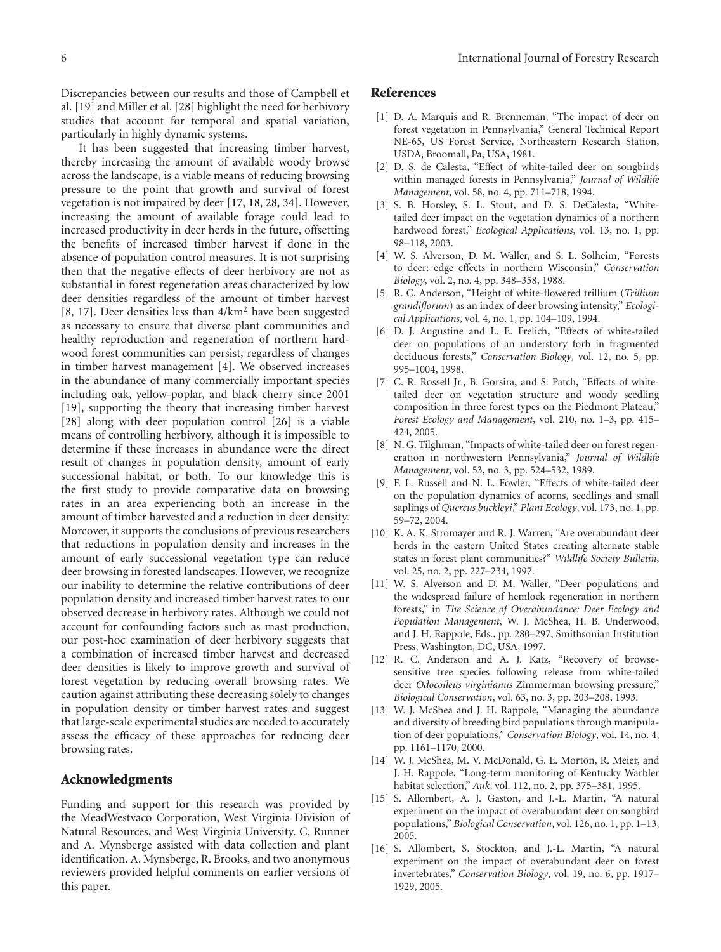Discrepancies between our results and those of Campbell et al. [19] and Miller et al. [28] highlight the need for herbivory studies that account for temporal and spatial variation, particularly in highly dynamic systems.

It has been suggested that increasing timber harvest, thereby increasing the amount of available woody browse across the landscape, is a viable means of reducing browsing pressure to the point that growth and survival of forest vegetation is not impaired by deer [17, 18, 28, 34]. However, increasing the amount of available forage could lead to increased productivity in deer herds in the future, offsetting the benefits of increased timber harvest if done in the absence of population control measures. It is not surprising then that the negative effects of deer herbivory are not as substantial in forest regeneration areas characterized by low deer densities regardless of the amount of timber harvest [8, 17]. Deer densities less than 4/km<sup>2</sup> have been suggested as necessary to ensure that diverse plant communities and healthy reproduction and regeneration of northern hardwood forest communities can persist, regardless of changes in timber harvest management [4]. We observed increases in the abundance of many commercially important species including oak, yellow-poplar, and black cherry since 2001 [19], supporting the theory that increasing timber harvest [28] along with deer population control [26] is a viable means of controlling herbivory, although it is impossible to determine if these increases in abundance were the direct result of changes in population density, amount of early successional habitat, or both. To our knowledge this is the first study to provide comparative data on browsing rates in an area experiencing both an increase in the amount of timber harvested and a reduction in deer density. Moreover, it supports the conclusions of previous researchers that reductions in population density and increases in the amount of early successional vegetation type can reduce deer browsing in forested landscapes. However, we recognize our inability to determine the relative contributions of deer population density and increased timber harvest rates to our observed decrease in herbivory rates. Although we could not account for confounding factors such as mast production, our post-hoc examination of deer herbivory suggests that a combination of increased timber harvest and decreased deer densities is likely to improve growth and survival of forest vegetation by reducing overall browsing rates. We caution against attributing these decreasing solely to changes in population density or timber harvest rates and suggest that large-scale experimental studies are needed to accurately assess the efficacy of these approaches for reducing deer browsing rates.

### **Acknowledgments**

Funding and support for this research was provided by the MeadWestvaco Corporation, West Virginia Division of Natural Resources, and West Virginia University. C. Runner and A. Mynsberge assisted with data collection and plant identification. A. Mynsberge, R. Brooks, and two anonymous reviewers provided helpful comments on earlier versions of this paper.

#### **References**

- [1] D. A. Marquis and R. Brenneman, "The impact of deer on forest vegetation in Pennsylvania," General Technical Report NE-65, US Forest Service, Northeastern Research Station, USDA, Broomall, Pa, USA, 1981.
- [2] D. S. de Calesta, "Effect of white-tailed deer on songbirds within managed forests in Pennsylvania," *Journal of Wildlife Management*, vol. 58, no. 4, pp. 711–718, 1994.
- [3] S. B. Horsley, S. L. Stout, and D. S. DeCalesta, "Whitetailed deer impact on the vegetation dynamics of a northern hardwood forest," *Ecological Applications*, vol. 13, no. 1, pp. 98–118, 2003.
- [4] W. S. Alverson, D. M. Waller, and S. L. Solheim, "Forests to deer: edge effects in northern Wisconsin," *Conservation Biology*, vol. 2, no. 4, pp. 348–358, 1988.
- [5] R. C. Anderson, "Height of white-flowered trillium (*Trillium grandiflorum*) as an index of deer browsing intensity," *Ecological Applications*, vol. 4, no. 1, pp. 104–109, 1994.
- [6] D. J. Augustine and L. E. Frelich, "Effects of white-tailed deer on populations of an understory forb in fragmented deciduous forests," *Conservation Biology*, vol. 12, no. 5, pp. 995–1004, 1998.
- [7] C. R. Rossell Jr., B. Gorsira, and S. Patch, "Effects of whitetailed deer on vegetation structure and woody seedling composition in three forest types on the Piedmont Plateau," *Forest Ecology and Management*, vol. 210, no. 1–3, pp. 415– 424, 2005.
- [8] N. G. Tilghman, "Impacts of white-tailed deer on forest regeneration in northwestern Pennsylvania," *Journal of Wildlife Management*, vol. 53, no. 3, pp. 524–532, 1989.
- [9] F. L. Russell and N. L. Fowler, "Effects of white-tailed deer on the population dynamics of acorns, seedlings and small saplings of *Quercus buckleyi*," *Plant Ecology*, vol. 173, no. 1, pp. 59–72, 2004.
- [10] K. A. K. Stromayer and R. J. Warren, "Are overabundant deer herds in the eastern United States creating alternate stable states in forest plant communities?" *Wildlife Society Bulletin*, vol. 25, no. 2, pp. 227–234, 1997.
- [11] W. S. Alverson and D. M. Waller, "Deer populations and the widespread failure of hemlock regeneration in northern forests," in *The Science of Overabundance: Deer Ecology and Population Management*, W. J. McShea, H. B. Underwood, and J. H. Rappole, Eds., pp. 280–297, Smithsonian Institution Press, Washington, DC, USA, 1997.
- [12] R. C. Anderson and A. J. Katz, "Recovery of browsesensitive tree species following release from white-tailed deer *Odocoileus virginianus* Zimmerman browsing pressure," *Biological Conservation*, vol. 63, no. 3, pp. 203–208, 1993.
- [13] W. J. McShea and J. H. Rappole, "Managing the abundance and diversity of breeding bird populations through manipulation of deer populations," *Conservation Biology*, vol. 14, no. 4, pp. 1161–1170, 2000.
- [14] W. J. McShea, M. V. McDonald, G. E. Morton, R. Meier, and J. H. Rappole, "Long-term monitoring of Kentucky Warbler habitat selection," *Auk*, vol. 112, no. 2, pp. 375–381, 1995.
- [15] S. Allombert, A. J. Gaston, and J.-L. Martin, "A natural experiment on the impact of overabundant deer on songbird populations," *Biological Conservation*, vol. 126, no. 1, pp. 1–13, 2005.
- [16] S. Allombert, S. Stockton, and J.-L. Martin, "A natural experiment on the impact of overabundant deer on forest invertebrates," *Conservation Biology*, vol. 19, no. 6, pp. 1917– 1929, 2005.